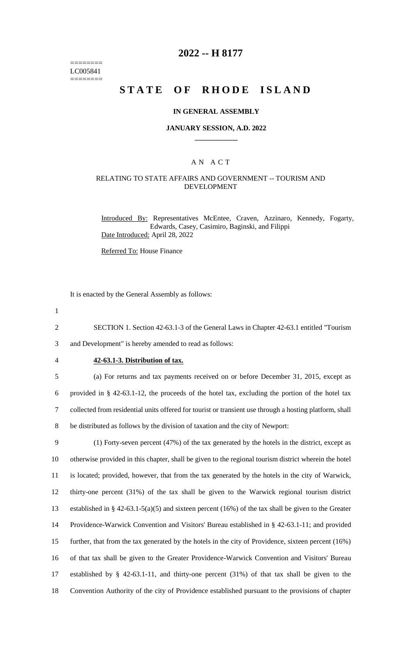======== LC005841 ========

### **2022 -- H 8177**

# **STATE OF RHODE ISLAND**

#### **IN GENERAL ASSEMBLY**

#### **JANUARY SESSION, A.D. 2022 \_\_\_\_\_\_\_\_\_\_\_\_**

### A N A C T

### RELATING TO STATE AFFAIRS AND GOVERNMENT -- TOURISM AND DEVELOPMENT

Introduced By: Representatives McEntee, Craven, Azzinaro, Kennedy, Fogarty, Edwards, Casey, Casimiro, Baginski, and Filippi Date Introduced: April 28, 2022

Referred To: House Finance

It is enacted by the General Assembly as follows:

1

2 SECTION 1. Section 42-63.1-3 of the General Laws in Chapter 42-63.1 entitled "Tourism 3 and Development" is hereby amended to read as follows:

#### 4 **42-63.1-3. Distribution of tax.**

 (a) For returns and tax payments received on or before December 31, 2015, except as provided in § 42-63.1-12, the proceeds of the hotel tax, excluding the portion of the hotel tax collected from residential units offered for tourist or transient use through a hosting platform, shall be distributed as follows by the division of taxation and the city of Newport:

 (1) Forty-seven percent (47%) of the tax generated by the hotels in the district, except as otherwise provided in this chapter, shall be given to the regional tourism district wherein the hotel is located; provided, however, that from the tax generated by the hotels in the city of Warwick, thirty-one percent (31%) of the tax shall be given to the Warwick regional tourism district established in § 42-63.1-5(a)(5) and sixteen percent (16%) of the tax shall be given to the Greater Providence-Warwick Convention and Visitors' Bureau established in § 42-63.1-11; and provided further, that from the tax generated by the hotels in the city of Providence, sixteen percent (16%) of that tax shall be given to the Greater Providence-Warwick Convention and Visitors' Bureau established by § 42-63.1-11, and thirty-one percent (31%) of that tax shall be given to the Convention Authority of the city of Providence established pursuant to the provisions of chapter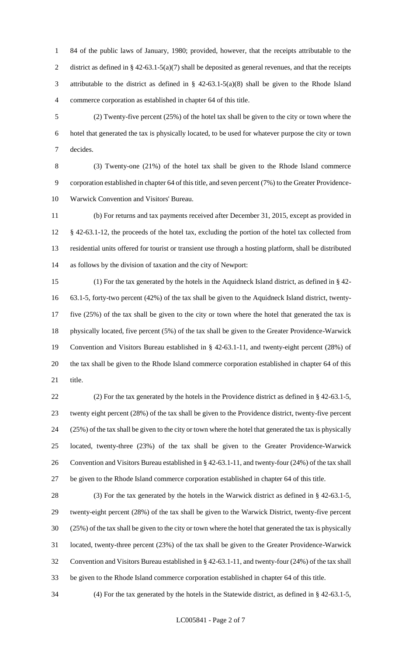84 of the public laws of January, 1980; provided, however, that the receipts attributable to the 2 district as defined in § 42-63.1-5(a)(7) shall be deposited as general revenues, and that the receipts attributable to the district as defined in § 42-63.1-5(a)(8) shall be given to the Rhode Island commerce corporation as established in chapter 64 of this title.

 (2) Twenty-five percent (25%) of the hotel tax shall be given to the city or town where the hotel that generated the tax is physically located, to be used for whatever purpose the city or town decides.

 (3) Twenty-one (21%) of the hotel tax shall be given to the Rhode Island commerce corporation established in chapter 64 of this title, and seven percent (7%) to the Greater Providence-Warwick Convention and Visitors' Bureau.

 (b) For returns and tax payments received after December 31, 2015, except as provided in § 42-63.1-12, the proceeds of the hotel tax, excluding the portion of the hotel tax collected from residential units offered for tourist or transient use through a hosting platform, shall be distributed as follows by the division of taxation and the city of Newport:

 (1) For the tax generated by the hotels in the Aquidneck Island district, as defined in § 42- 63.1-5, forty-two percent (42%) of the tax shall be given to the Aquidneck Island district, twenty- five (25%) of the tax shall be given to the city or town where the hotel that generated the tax is physically located, five percent (5%) of the tax shall be given to the Greater Providence-Warwick Convention and Visitors Bureau established in § 42-63.1-11, and twenty-eight percent (28%) of the tax shall be given to the Rhode Island commerce corporation established in chapter 64 of this title.

 (2) For the tax generated by the hotels in the Providence district as defined in § 42-63.1-5, twenty eight percent (28%) of the tax shall be given to the Providence district, twenty-five percent (25%) of the tax shall be given to the city or town where the hotel that generated the tax is physically located, twenty-three (23%) of the tax shall be given to the Greater Providence-Warwick Convention and Visitors Bureau established in § 42-63.1-11, and twenty-four (24%) of the tax shall be given to the Rhode Island commerce corporation established in chapter 64 of this title.

 (3) For the tax generated by the hotels in the Warwick district as defined in § 42-63.1-5, twenty-eight percent (28%) of the tax shall be given to the Warwick District, twenty-five percent (25%) of the tax shall be given to the city or town where the hotel that generated the tax is physically located, twenty-three percent (23%) of the tax shall be given to the Greater Providence-Warwick Convention and Visitors Bureau established in § 42-63.1-11, and twenty-four (24%) of the tax shall be given to the Rhode Island commerce corporation established in chapter 64 of this title.

(4) For the tax generated by the hotels in the Statewide district, as defined in § 42-63.1-5,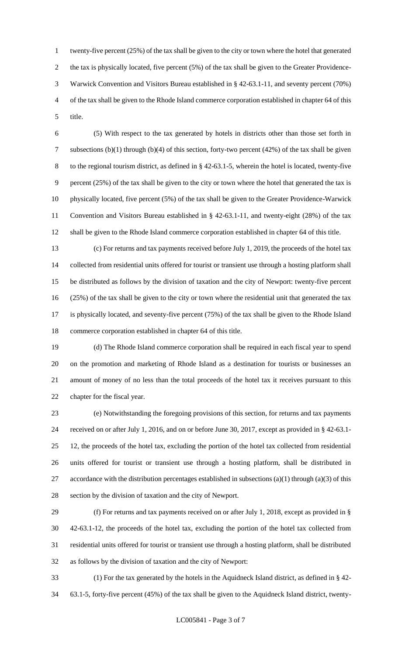twenty-five percent (25%) of the tax shall be given to the city or town where the hotel that generated the tax is physically located, five percent (5%) of the tax shall be given to the Greater Providence- Warwick Convention and Visitors Bureau established in § 42-63.1-11, and seventy percent (70%) of the tax shall be given to the Rhode Island commerce corporation established in chapter 64 of this title.

 (5) With respect to the tax generated by hotels in districts other than those set forth in subsections (b)(1) through (b)(4) of this section, forty-two percent (42%) of the tax shall be given to the regional tourism district, as defined in § 42-63.1-5, wherein the hotel is located, twenty-five percent (25%) of the tax shall be given to the city or town where the hotel that generated the tax is physically located, five percent (5%) of the tax shall be given to the Greater Providence-Warwick Convention and Visitors Bureau established in § 42-63.1-11, and twenty-eight (28%) of the tax shall be given to the Rhode Island commerce corporation established in chapter 64 of this title.

 (c) For returns and tax payments received before July 1, 2019, the proceeds of the hotel tax collected from residential units offered for tourist or transient use through a hosting platform shall be distributed as follows by the division of taxation and the city of Newport: twenty-five percent (25%) of the tax shall be given to the city or town where the residential unit that generated the tax is physically located, and seventy-five percent (75%) of the tax shall be given to the Rhode Island commerce corporation established in chapter 64 of this title.

 (d) The Rhode Island commerce corporation shall be required in each fiscal year to spend on the promotion and marketing of Rhode Island as a destination for tourists or businesses an amount of money of no less than the total proceeds of the hotel tax it receives pursuant to this chapter for the fiscal year.

 (e) Notwithstanding the foregoing provisions of this section, for returns and tax payments received on or after July 1, 2016, and on or before June 30, 2017, except as provided in § 42-63.1- 12, the proceeds of the hotel tax, excluding the portion of the hotel tax collected from residential units offered for tourist or transient use through a hosting platform, shall be distributed in 27 accordance with the distribution percentages established in subsections (a)(1) through (a)(3) of this section by the division of taxation and the city of Newport.

 (f) For returns and tax payments received on or after July 1, 2018, except as provided in § 42-63.1-12, the proceeds of the hotel tax, excluding the portion of the hotel tax collected from residential units offered for tourist or transient use through a hosting platform, shall be distributed as follows by the division of taxation and the city of Newport:

 (1) For the tax generated by the hotels in the Aquidneck Island district, as defined in § 42- 63.1-5, forty-five percent (45%) of the tax shall be given to the Aquidneck Island district, twenty-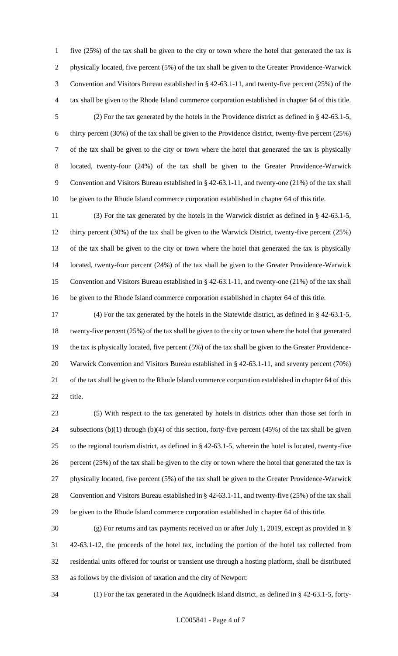five (25%) of the tax shall be given to the city or town where the hotel that generated the tax is physically located, five percent (5%) of the tax shall be given to the Greater Providence-Warwick Convention and Visitors Bureau established in § 42-63.1-11, and twenty-five percent (25%) of the tax shall be given to the Rhode Island commerce corporation established in chapter 64 of this title. (2) For the tax generated by the hotels in the Providence district as defined in § 42-63.1-5, thirty percent (30%) of the tax shall be given to the Providence district, twenty-five percent (25%) of the tax shall be given to the city or town where the hotel that generated the tax is physically located, twenty-four (24%) of the tax shall be given to the Greater Providence-Warwick Convention and Visitors Bureau established in § 42-63.1-11, and twenty-one (21%) of the tax shall be given to the Rhode Island commerce corporation established in chapter 64 of this title.

 (3) For the tax generated by the hotels in the Warwick district as defined in § 42-63.1-5, thirty percent (30%) of the tax shall be given to the Warwick District, twenty-five percent (25%) of the tax shall be given to the city or town where the hotel that generated the tax is physically located, twenty-four percent (24%) of the tax shall be given to the Greater Providence-Warwick Convention and Visitors Bureau established in § 42-63.1-11, and twenty-one (21%) of the tax shall be given to the Rhode Island commerce corporation established in chapter 64 of this title.

 (4) For the tax generated by the hotels in the Statewide district, as defined in § 42-63.1-5, twenty-five percent (25%) of the tax shall be given to the city or town where the hotel that generated the tax is physically located, five percent (5%) of the tax shall be given to the Greater Providence- Warwick Convention and Visitors Bureau established in § 42-63.1-11, and seventy percent (70%) of the tax shall be given to the Rhode Island commerce corporation established in chapter 64 of this title.

 (5) With respect to the tax generated by hotels in districts other than those set forth in subsections (b)(1) through (b)(4) of this section, forty-five percent (45%) of the tax shall be given to the regional tourism district, as defined in § 42-63.1-5, wherein the hotel is located, twenty-five percent (25%) of the tax shall be given to the city or town where the hotel that generated the tax is physically located, five percent (5%) of the tax shall be given to the Greater Providence-Warwick Convention and Visitors Bureau established in § 42-63.1-11, and twenty-five (25%) of the tax shall be given to the Rhode Island commerce corporation established in chapter 64 of this title.

 (g) For returns and tax payments received on or after July 1, 2019, except as provided in § 42-63.1-12, the proceeds of the hotel tax, including the portion of the hotel tax collected from residential units offered for tourist or transient use through a hosting platform, shall be distributed as follows by the division of taxation and the city of Newport:

(1) For the tax generated in the Aquidneck Island district, as defined in § 42-63.1-5, forty-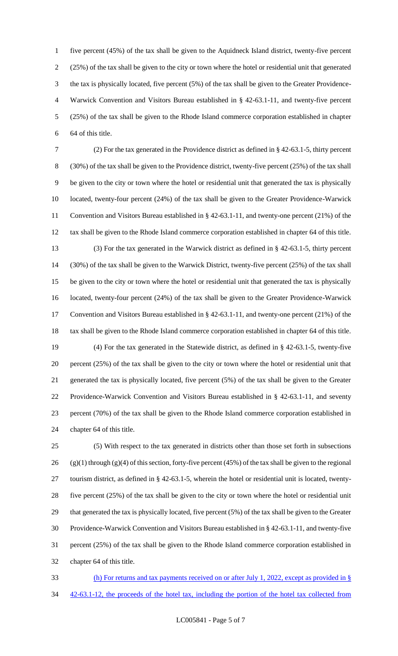five percent (45%) of the tax shall be given to the Aquidneck Island district, twenty-five percent (25%) of the tax shall be given to the city or town where the hotel or residential unit that generated the tax is physically located, five percent (5%) of the tax shall be given to the Greater Providence- Warwick Convention and Visitors Bureau established in § 42-63.1-11, and twenty-five percent (25%) of the tax shall be given to the Rhode Island commerce corporation established in chapter 64 of this title.

 (2) For the tax generated in the Providence district as defined in § 42-63.1-5, thirty percent (30%) of the tax shall be given to the Providence district, twenty-five percent (25%) of the tax shall be given to the city or town where the hotel or residential unit that generated the tax is physically located, twenty-four percent (24%) of the tax shall be given to the Greater Providence-Warwick Convention and Visitors Bureau established in § 42-63.1-11, and twenty-one percent (21%) of the tax shall be given to the Rhode Island commerce corporation established in chapter 64 of this title. (3) For the tax generated in the Warwick district as defined in § 42-63.1-5, thirty percent (30%) of the tax shall be given to the Warwick District, twenty-five percent (25%) of the tax shall be given to the city or town where the hotel or residential unit that generated the tax is physically located, twenty-four percent (24%) of the tax shall be given to the Greater Providence-Warwick Convention and Visitors Bureau established in § 42-63.1-11, and twenty-one percent (21%) of the tax shall be given to the Rhode Island commerce corporation established in chapter 64 of this title. (4) For the tax generated in the Statewide district, as defined in § 42-63.1-5, twenty-five percent (25%) of the tax shall be given to the city or town where the hotel or residential unit that generated the tax is physically located, five percent (5%) of the tax shall be given to the Greater Providence-Warwick Convention and Visitors Bureau established in § 42-63.1-11, and seventy percent (70%) of the tax shall be given to the Rhode Island commerce corporation established in chapter 64 of this title.

 (5) With respect to the tax generated in districts other than those set forth in subsections 26 (g)(1) through (g)(4) of this section, forty-five percent (45%) of the tax shall be given to the regional tourism district, as defined in § 42-63.1-5, wherein the hotel or residential unit is located, twenty- five percent (25%) of the tax shall be given to the city or town where the hotel or residential unit that generated the tax is physically located, five percent (5%) of the tax shall be given to the Greater Providence-Warwick Convention and Visitors Bureau established in § 42-63.1-11, and twenty-five percent (25%) of the tax shall be given to the Rhode Island commerce corporation established in chapter 64 of this title.

 (h) For returns and tax payments received on or after July 1, 2022, except as provided in § 34 42-63.1-12, the proceeds of the hotel tax, including the portion of the hotel tax collected from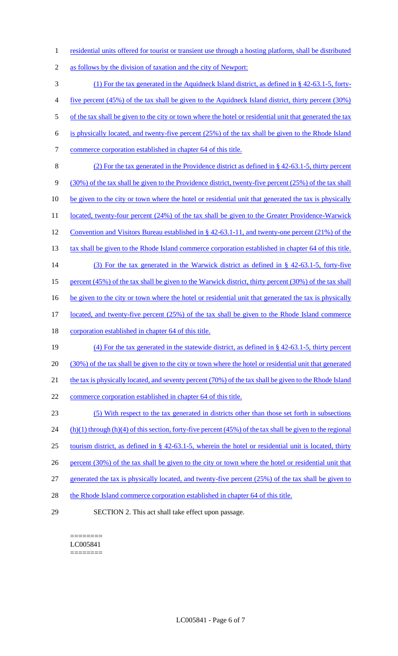1 residential units offered for tourist or transient use through a hosting platform, shall be distributed

2 as follows by the division of taxation and the city of Newport:

3 (1) For the tax generated in the Aquidneck Island district, as defined in § 42-63.1-5, forty-4 five percent (45%) of the tax shall be given to the Aquidneck Island district, thirty percent (30%) 5 of the tax shall be given to the city or town where the hotel or residential unit that generated the tax 6 is physically located, and twenty-five percent (25%) of the tax shall be given to the Rhode Island 7 commerce corporation established in chapter 64 of this title. 8 (2) For the tax generated in the Providence district as defined in § 42-63.1-5, thirty percent 9 (30%) of the tax shall be given to the Providence district, twenty-five percent (25%) of the tax shall 10 be given to the city or town where the hotel or residential unit that generated the tax is physically 11 located, twenty-four percent (24%) of the tax shall be given to the Greater Providence-Warwick 12 Convention and Visitors Bureau established in § 42-63.1-11, and twenty-one percent (21%) of the 13 tax shall be given to the Rhode Island commerce corporation established in chapter 64 of this title. 14 (3) For the tax generated in the Warwick district as defined in § 42-63.1-5, forty-five 15 percent (45%) of the tax shall be given to the Warwick district, thirty percent (30%) of the tax shall 16 be given to the city or town where the hotel or residential unit that generated the tax is physically 17 located, and twenty-five percent (25%) of the tax shall be given to the Rhode Island commerce 18 corporation established in chapter 64 of this title. 19 (4) For the tax generated in the statewide district, as defined in § 42-63.1-5, thirty percent 20 (30%) of the tax shall be given to the city or town where the hotel or residential unit that generated 21 the tax is physically located, and seventy percent (70%) of the tax shall be given to the Rhode Island 22 commerce corporation established in chapter 64 of this title. 23 (5) With respect to the tax generated in districts other than those set forth in subsections 24 (h)(1) through (h)(4) of this section, forty-five percent (45%) of the tax shall be given to the regional 25 tourism district, as defined in § 42-63.1-5, wherein the hotel or residential unit is located, thirty 26 percent (30%) of the tax shall be given to the city or town where the hotel or residential unit that 27 generated the tax is physically located, and twenty-five percent (25%) of the tax shall be given to 28 the Rhode Island commerce corporation established in chapter 64 of this title. 29 SECTION 2. This act shall take effect upon passage.

======== LC005841 ========